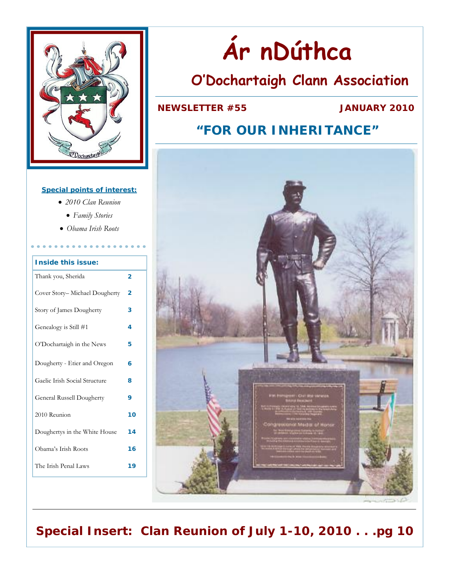

#### **Special points of interest:**

- *2010 Clan Reunion*
- *Family Stories*
- *Obama Irish Roots*

| <b>Inside this issue:</b>     |    |  |
|-------------------------------|----|--|
| Thank you, Sherida            | 2  |  |
| Cover Story-Michael Dougherty | 2  |  |
| Story of James Dougherty      | 3  |  |
| Genealogy is Still #1         |    |  |
| O'Dochartaigh in the News     | 5  |  |
| Dougherty - Etier and Oregon  |    |  |
| Gaelic Irish Social Structure | 8  |  |
| General Russell Dougherty     |    |  |
| 2010 Reunion                  |    |  |
| Doughertys in the White House | 14 |  |
| Obama's Irish Roots           | 16 |  |
| The Irish Penal Laws          | 19 |  |

# **Ár nDúthca**

## **O'Dochartaigh Clann Association**

### **NEWSLETTER #55 JANUARY 2010**

### **"FOR OUR INHERITANCE"**



**Special Insert: Clan Reunion of July 1-10, 2010 . . .pg 10**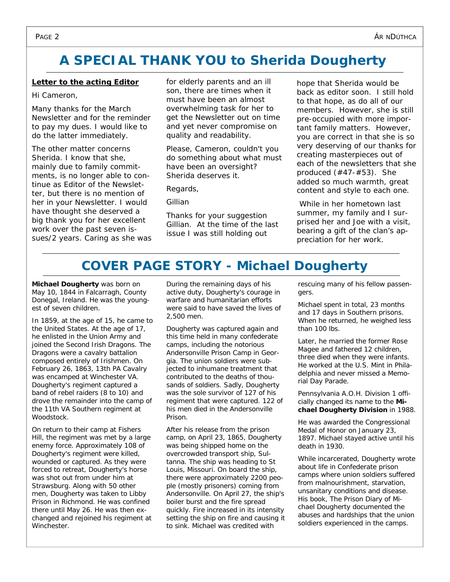### **A SPECIAL THANK YOU to Sherida Dougherty**

#### **Letter to the acting Editor**

#### Hi Cameron,

Many thanks for the March Newsletter and for the reminder to pay my dues. I would like to do the latter immediately.

The other matter concerns Sherida. I know that she, mainly due to family commitments, is no longer able to continue as Editor of the Newsletter, but there is no mention of her in your Newsletter. I would have thought she deserved a big thank you for her excellent work over the past seven issues/2 years. Caring as she was for elderly parents and an ill son, there are times when it must have been an almost overwhelming task for her to get the Newsletter out on time and yet never compromise on quality and readability.

Please, Cameron, couldn't you do something about what must have been an oversight? Sherida deserves it.

Regards,

Gillian

*Thanks for your suggestion Gillian. At the time of the last issue I was still holding out* 

*hope that Sherida would be back as editor soon. I still hold to that hope, as do all of our members. However, she is still pre-occupied with more important family matters. However, you are correct in that she is so very deserving of our thanks for creating masterpieces out of each of the newsletters that she produced (#47-#53). She added so much warmth, great content and style to each one.* 

 *While in her hometown last summer, my family and I surprised her and Joe with a visit, bearing a gift of the clan's appreciation for her work.* 

### **COVER PAGE STORY - Michael Dougherty**

**Michael Dougherty** was born on May 10, 1844 in Falcarragh, County Donegal, Ireland. He was the youngest of seven children.

In 1859, at the age of 15, he came to the United States. At the age of 17, he enlisted in the Union Army and joined the Second Irish Dragons. The *Dragons* were a cavalry battalion composed entirely of Irishmen. On February 26, 1863, 13th PA Cavalry was encamped at Winchester VA. Dougherty's regiment captured a band of rebel raiders (8 to 10) and drove the remainder into the camp of the 11th VA Southern regiment at Woodstock.

On return to their camp at Fishers Hill, the regiment was met by a large enemy force. Approximately 108 of Dougherty's regiment were killed, wounded or captured. As they were forced to retreat, Dougherty's horse was shot out from under him at Strawsburg. Along with 50 other men, Dougherty was taken to Libby Prison in Richmond. He was confined there until May 26. He was then exchanged and rejoined his regiment at Winchester.

During the remaining days of his active duty, Dougherty's courage in warfare and humanitarian efforts were said to have saved the lives of 2,500 men.

Dougherty was captured again and this time held in many confederate camps, including the notorious Andersonville Prison Camp in Georgia. The union soldiers were subjected to inhumane treatment that contributed to the deaths of thousands of soldiers. Sadly, Dougherty was the sole survivor of 127 of his regiment that were captured. 122 of his men died in the Andersonville Prison.

After his release from the prison camp, on April 23, 1865, Dougherty was being shipped home on the overcrowded transport ship, Sultanna. The ship was heading to St Louis, Missouri. On board the ship, there were approximately 2200 people (mostly prisoners) coming from Andersonville. On April 27, the ship's boiler burst and the fire spread quickly. Fire increased in its intensity setting the ship on fire and causing it to sink. Michael was credited with

rescuing many of his fellow passengers.

Michael spent in total, 23 months and 17 days in Southern prisons. When he returned, he weighed less than 100 lbs.

Later, he married the former Rose Magee and fathered 12 children, three died when they were infants. He worked at the U.S. Mint in Philadelphia and never missed a Memorial Day Parade.

Pennsylvania A.O.H. Division 1 officially changed its name to the *Michael Dougherty Division* in 1988.

He was awarded the Congressional Medal of Honor on January 23, 1897. Michael stayed active until his death in 1930.

While incarcerated, Dougherty wrote about life in Confederate prison camps where union soldiers suffered from malnourishment, starvation, unsanitary conditions and disease. His book, *The Prison Diary of Michael Dougherty* documented the abuses and hardships that the union soldiers experienced in the camps.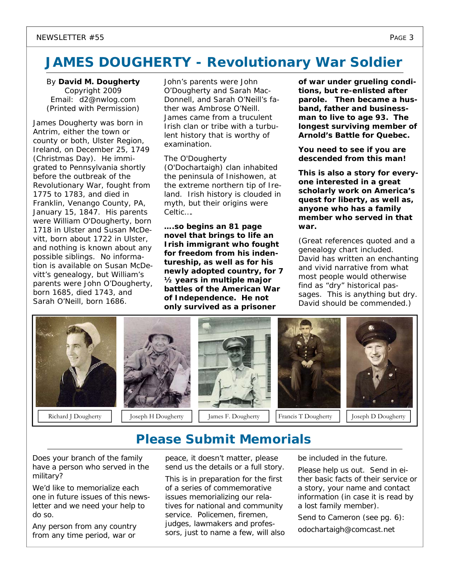### **JAMES DOUGHERTY - Revolutionary War Soldier**

By **David M. Dougherty**  Copyright 2009 Email: d2@nwlog.com (Printed with Permission)

James Dougherty was born in Antrim, either the town or county or both, Ulster Region, Ireland, on *December 25, 1749 (Christmas Day)*. He immigrated to Pennsylvania shortly before the outbreak of the Revolutionary War, fought from 1775 to 1783, and died in Franklin, Venango County, PA, January 15, 1847. His parents were William O'Dougherty, born 1718 in Ulster and Susan McDevitt, born about 1722 in Ulster, and nothing is known about any possible siblings. No information is available on Susan McDevitt's genealogy, but William's parents were John O'Dougherty, born 1685, died 1743, and Sarah O'Neill, born 1686.

John's parents were John O'Dougherty and Sarah Mac-Donnell, and Sarah O'Neill's father was Ambrose O'Neill. James came from a truculent Irish clan or tribe with a turbulent history that is worthy of examination.

#### The O'Dougherty (O'Dochartaigh) clan inhabited

the peninsula of Inishowen, at the extreme northern tip of Ireland. Irish history is clouded in myth, but their origins were Celtic….

*….so begins an 81 page novel that brings to life an Irish immigrant who fought for freedom from his indentureship, as well as for his newly adopted country, for 7 ½ years in multiple major battles of the American War of Independence. He not only survived as a prisoner* 

*of war under grueling conditions, but re-enlisted after parole. Then became a husband, father and businessman to live to age 93. The longest surviving member of Arnold's Battle for Quebec.* 

*You need to see if you are descended from this man!* 

*This is also a story for everyone interested in a great scholarly work on America's quest for liberty, as well as, anyone who has a family member who served in that war.* 

(Great references quoted and a genealogy chart included. David has written an enchanting and vivid narrative from what most people would otherwise find as "dry" historical passages. This is anything but dry. David should be commended.)



### **Please Submit Memorials**

Does your branch of the family have a person who served in the military?

We'd like to memorialize each one in future issues of this newsletter and we need your help to do so.

Any person from any country from any time period, war or

peace, it doesn't matter, please send us the details or a full story.

This is in preparation for the first of a series of commemorative issues memorializing our relatives for national and community service. Policemen, firemen, judges, lawmakers and professors, just to name a few, will also be included in the future.

Please help us out. Send in either basic facts of their service or a story, your name and contact information (in case it is read by a lost family member).

Send to Cameron (see pg. 6):

odochartaigh@comcast.net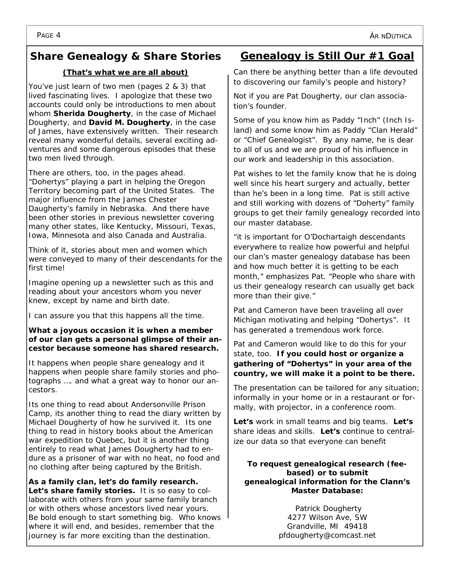### **Share Genealogy & Share Stories**

#### *(That's what we are all about)*

You've just learn of two men (pages 2 & 3) that lived fascinating lives. I apologize that these two accounts could only be introductions to men about whom **Sherida Dougherty**, in the case of Michael Dougherty, and **David M. Dougherty**, in the case of James, have extensively written. Their research reveal many wonderful details, several exciting adventures and some dangerous episodes that these two men lived through.

There are others, too, in the pages ahead. "Dohertys" playing a part in helping the Oregon Territory becoming part of the United States. The major influence from the James Chester Daugherty's family in Nebraska. And there have been other stories in previous newsletter covering many other states, like Kentucky, Missouri, Texas, Iowa, Minnesota and also Canada and Australia.

Think of it, stories about men and women which were conveyed to many of their descendants for the first time!

Imagine opening up a newsletter such as this and reading about your ancestors whom you never knew, except by name and birth date.

I can assure you that this happens all the time.

#### *What a joyous occasion it is when a member of our clan gets a personal glimpse of their ancestor because someone has shared research.*

It happens when people share genealogy and it happens when people share family stories and photographs …. and what a great way to honor our ancestors.

Its one thing to read about Andersonville Prison Camp, its another thing to read the diary written by Michael Dougherty of how he survived it. Its one thing to read in history books about the American war expedition to Quebec, but it is another thing entirely to read what James Dougherty had to endure as a prisoner of war with no heat, no food and no clothing after being captured by the British.

*As a family clan, let's do family research. Let's share family stories.*It is so easy to collaborate with others from your same family branch or with others whose ancestors lived near yours. Be bold enough to start something big. Who knows where it will end, and besides, *remember that the journey is far more exciting than the destination.*

### **Genealogy is Still Our #1 Goal**

Can there be anything better than a life devouted to discovering our family's people and history?

Not if you are Pat Dougherty, our clan association's founder.

Some of you know him as Paddy "Inch" (Inch Island) and some know him as Paddy "Clan Herald" or "Chief Genealogist". By any name, he is dear to all of us and we are proud of his influence in our work and leadership in this association.

Pat wishes to let the family know that he is doing well since his heart surgery and actually, better than he's been in a long time. Pat is still active and still working with dozens of "Doherty" family groups to get their family genealogy recorded into our master database.

"it is important for O'Dochartaigh descendants everywhere to realize how powerful and helpful our clan's master genealogy database has been and how much better it is getting to be each month," emphasizes Pat. "People who share with us their genealogy research can usually get back more than their give."

Pat and Cameron have been traveling all over Michigan motivating and helping "Dohertys". It has generated a tremendous work force.

Pat and Cameron would like to do this for your state, too. **If you could host or organize a gathering of "Dohertys" in your area of the country, we will make it a point to be there.**

The presentation can be tailored for any situation; informally in your home or in a restaurant or formally, with projector, in a conference room.

*Let's* work in small teams and big teams. *Let's* share ideas and skills. *Let's* continue to centralize our data so that everyone can benefit

**To request genealogical research (feebased) or to submit genealogical information for the Clann's Master Database:** 

> Patrick Dougherty 4277 Wilson Ave, SW Grandville, MI 49418 pfdougherty@comcast.net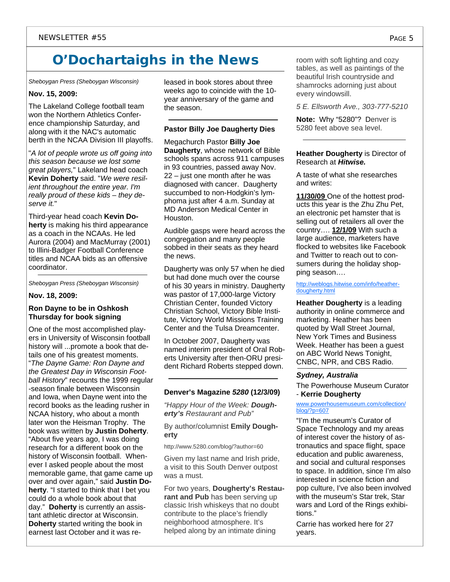## **O'Dochartaighs in the News**

*Sheboygan Press (Sheboygan Wisconsin)*

#### **Nov. 15, 2009:**

The Lakeland College football team won the Northern Athletics Conference championship Saturday, and along with it the NAC's automatic berth in the NCAA Division III playoffs.

"*A lot of people wrote us off going into this season because we lost some great players,*" Lakeland head coach **Kevin Doherty** said. "*We were resilient throughout the entire year. I'm really proud of these kids – they deserve it.*"

Third-year head coach **Kevin Doherty** is making his third appearance as a coach in the NCAAs. He led Aurora (2004) and MacMurray (2001) to Illini-Badger Football Conference titles and NCAA bids as an offensive coordinator.

*Sheboygan Press (Sheboygan Wisconsin)*

#### **Nov. 18, 2009:**

#### **Ron Dayne to be in Oshkosh Thursday for book signing**

One of the most accomplished players in University of Wisconsin football history will ...promote a book that details one of his greatest moments. "*The Dayne Game: Ron Dayne and the Greatest Day in Wisconsin Football History*" recounts the 1999 regular -season finale between Wisconsin and Iowa, when Dayne went into the record books as the leading rusher in NCAA history, who about a month later won the Heisman Trophy. The book was written by **Justin Doherty**. "About five years ago, I was doing research for a different book on the history of Wisconsin football. Whenever I asked people about the most memorable game, that game came up over and over again," said **Justin Doherty**. "I started to think that I bet you could do a whole book about that day." **Doherty** is currently an assistant athletic director at Wisconsin. **Doherty** started writing the book in earnest last October and it was released in book stores about three weeks ago to coincide with the 10 year anniversary of the game and the season.

#### **Pastor Billy Joe Daugherty Dies**

Megachurch Pastor **Billy Joe Daugherty**, whose network of Bible schools spans across 911 campuses in 93 countries, passed away Nov. 22 – just one month after he was diagnosed with cancer. Daugherty succumbed to non-Hodgkin's lymphoma just after 4 a.m. Sunday at MD Anderson Medical Center in Houston.

Audible gasps were heard across the congregation and many people sobbed in their seats as they heard the news.

Daugherty was only 57 when he died but had done much over the course of his 30 years in ministry. Daugherty was pastor of 17,000-large Victory Christian Center, founded Victory Christian School, Victory Bible Institute, Victory World Missions Training Center and the Tulsa Dreamcenter.

In October 2007, Daugherty was named interim president of Oral Roberts University after then-ORU president Richard Roberts stepped down.

#### **Denver's Magazine** *5280* **(12/3/09)**

*"Happy Hour of the Week: Dougherty's Restaurant and Pub"* 

By author/columnist **Emily Dougherty**

http://www.5280.com/blog/?author=60

Given my last name and Irish pride, a visit to this South Denver outpost was a must.

For two years, **Dougherty's Restaurant and Pub** has been serving up classic Irish whiskeys that no doubt contribute to the place's friendly neighborhood atmosphere. It's helped along by an intimate dining

room with soft lighting and cozy tables, as well as paintings of the beautiful Irish countryside and shamrocks adorning just about every windowsill.

*5 E. Ellsworth Ave., 303-777-5210*

**Note:** Why "5280"? Denver is 5280 feet above sea level.

#### **Heather Dougherty** is Director of Research at *Hitwise.*

A taste of what she researches and writes:

**11/30/09** One of the hottest products this year is the Zhu Zhu Pet, an electronic pet hamster that is selling out of retailers all over the country…. **12/1/09** With such a large audience, marketers have flocked to websites like Facebook and Twitter to reach out to consumers during the holiday shopping season….

http://weblogs.hitwise.com/info/heatherdougherty.html

**Heather Dougherty** is a leading authority in online commerce and marketing. Heather has been quoted by Wall Street Journal, New York Times and Business Week. Heather has been a guest on ABC World News Tonight, CNBC, NPR, and CBS Radio.

#### *Sydney, Australia*

The Powerhouse Museum Curator - **Kerrie Dougherty** 

www.powerhousemuseum.com/collection/ blog/?p=607

"I'm the museum's Curator of Space Technology and my areas of interest cover the history of astronautics and space flight, space education and public awareness, and social and cultural responses to space. In addition, since I'm also interested in science fiction and pop culture, I've also been involved with the museum's Star trek, Star wars and Lord of the Rings exhibitions."

Carrie has worked here for 27 years.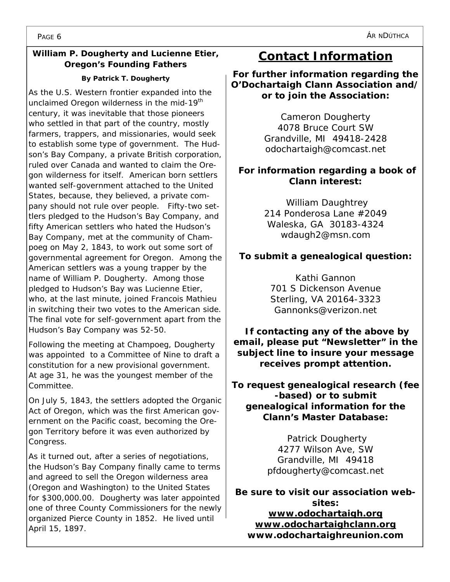#### **William P. Dougherty and Lucienne Etier, Oregon's Founding Fathers**

#### **By Patrick T. Dougherty**

As the U.S. Western frontier expanded into the unclaimed Oregon wilderness in the mid-19<sup>th</sup> century, it was inevitable that those pioneers who settled in that part of the country, mostly farmers, trappers, and missionaries, would seek to establish some type of government. The Hudson's Bay Company, a private British corporation, ruled over Canada and wanted to claim the Oregon wilderness for itself. American born settlers wanted self-government attached to the United States, because, they believed, a private company should not rule over people. Fifty-two settlers pledged to the Hudson's Bay Company, and fifty American settlers who hated the Hudson's Bay Company, met at the community of Champoeg on May 2, 1843, to work out some sort of governmental agreement for Oregon. Among the American settlers was a young trapper by the name of William P. Dougherty. Among those pledged to Hudson's Bay was Lucienne Etier, who, at the last minute, joined Francois Mathieu in switching their two votes to the American side. The final vote for self-government apart from the Hudson's Bay Company was 52-50.

Following the meeting at Champoeg, Dougherty was appointed to a Committee of Nine to draft a constitution for a new provisional government. At age 31, he was the youngest member of the Committee.

On July 5, 1843, the settlers adopted the Organic Act of Oregon, which was the first American government on the Pacific coast, becoming the Oregon Territory before it was even authorized by Congress.

As it turned out, after a series of negotiations, the Hudson's Bay Company finally came to terms and agreed to sell the Oregon wilderness area (Oregon and Washington) to the United States for \$300,000.00. Dougherty was later appointed one of three County Commissioners for the newly organized Pierce County in 1852. He lived until April 15, 1897.

### **Contact Information**

**For further information regarding the O'Dochartaigh Clann Association and/ or to join the Association:** 

> Cameron Dougherty 4078 Bruce Court SW Grandville, MI 49418-2428 odochartaigh@comcast.net

#### **For information regarding a book of Clann interest:**

William Daughtrey 214 Ponderosa Lane #2049 Waleska, GA 30183-4324 wdaugh2@msn.com

### **To submit a genealogical question:**

Kathi Gannon 701 S Dickenson Avenue Sterling, VA 20164-3323 Gannonks@verizon.net

 **If contacting any of the above by email, please put "Newsletter" in the subject line to insure your message receives prompt attention.** 

**To request genealogical research (fee -based) or to submit genealogical information for the Clann's Master Database:** 

> Patrick Dougherty 4277 Wilson Ave, SW Grandville, MI 49418 pfdougherty@comcast.net

**Be sure to visit our association websites:** 

**www.odochartaigh.org www.odochartaighclann.org www.odochartaighreunion.com**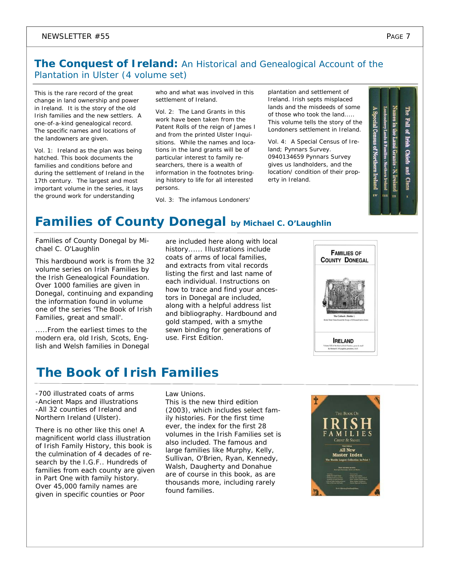### **The Conquest of Ireland:** An Historical and Genealogical Account of the Plantation in Ulster (4 volume set)

This is the rare record of the great change in land ownership and power in Ireland. It is the story of the old Irish families and the new settlers. A one-of-a-kind genealogical record. The specific names and locations of the landowners are given.

Vol. 1: Ireland as the plan was being hatched. This book documents the families and conditions before and during the settlement of Ireland in the 17th century. The largest and most important volume in the series, it lays the ground work for understanding

who and what was involved in this settlement of Ireland.

Vol. 2: The Land Grants in this work have been taken from the Patent Rolls of the reign of James I and from the printed Ulster Inquisitions. While the names and locations in the land grants will be of particular interest to family researchers, there is a wealth of information in the footnotes bringing history to life for all interested persons.

Vol. 3: The infamous Londoners'

plantation and settlement of Ireland. Irish septs misplaced lands and the misdeeds of some of those who took the land..... This volume tells the story of the Londoners settlement in Ireland.

Vol. 4: A Special Census of Ireland; Pynnars Survey. 0940134659 Pynnars Survey gives us landholders, and the location/ condition of their property in Ireland.

The Fall of cial Census of North ry Lands & Families - Northern Ireland Irish **Chiefs** Grants - N. Ireland pue **Clans** rv. m  $\mathbf{H}$ 

### **Families of County Donegal by Michael C. O'Laughlin**

Families of County Donegal by Michael C. O'Laughlin

This hardbound work is from the 32 volume series on Irish Families by the Irish Genealogical Foundation. Over 1000 families are given in Donegal, continuing and expanding the information found in volume one of the series 'The Book of Irish Families, great and small'.

.....From the earliest times to the modern era, old Irish, Scots, English and Welsh families in Donegal are included here along with local history...... Illustrations include coats of arms of local families, and extracts from vital records listing the first and last name of each individual. Instructions on how to trace and find your ancestors in Donegal are included, along with a helpful address list and bibliography. Hardbound and gold stamped, with a smythe sewn binding for generations of use. First Edition.

| <b>FAMILIES OF</b><br><b>COUNTY DONEGAL</b>                                                                              |
|--------------------------------------------------------------------------------------------------------------------------|
| The Cathach (Battler)<br>Borne Three Times Round the Troces of O'Donnell before Battle                                   |
| <b>IRELAND</b><br>Volume VIII of the Book of Irish Families, great & small<br>By Michael C. O'Laughlin, president, LG.F. |
|                                                                                                                          |

### **The Book of Irish Families**

-700 illustrated coats of arms -Ancient Maps and illustrations -All 32 counties of Ireland and Northern Ireland (Ulster).

There is no other like this one! A magnificent world class illustration of Irish Family History, this book is the culmination of 4 decades of research by the I.G.F.. Hundreds of families from each county are given in Part One with family history. Over 45,000 family names are given in specific counties or Poor

Law Unions.

This is the new third edition (2003), which includes select family histories. For the first time ever, the index for the first 28 volumes in the Irish Families set is also included. The famous and large families like Murphy, Kelly, Sullivan, O'Brien, Ryan, Kennedy, Walsh, Daugherty and Donahue are of course in this book, as are thousands more, including rarely found families.

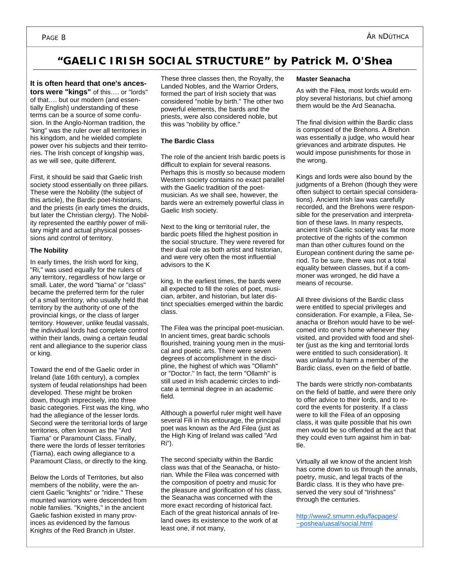### **"GAELIC IRISH SOCIAL STRUCTURE" by Patrick M. O'Shea**

**It is often heard that one's ancestors were "kings"** of this…. or "lords" of that…. but our modern (and essentially English) understanding of these terms can be a source of some confusion. In the Anglo-Norman tradition, the "king" was the ruler over all territories in his kingdom, and he wielded complete power over his subjects and their territories. The Irish concept of kingship was, as we will see, quite different.

First, it should be said that Gaelic Irish society stood essentially on three pillars. These were the Nobility (the subject of this article), the Bardic poet-historians, and the priests (in early times the druids, but later the Christian clergy). The Nobility represented the earthly power of military might and actual physical possessions and control of territory.

#### **The Nobility**

In early times, the Irish word for king, "Ri," was used equally for the rulers of any territory, regardless of how large or small. Later, the word "tiarna" or "class" became the preferred term for the ruler of a small territory, who usually held that territory by the authority of one of the provincial kings, or the class of larger territory. However, unlike feudal vassals, the individual lords had complete control within their lands, owing a certain feudal rent and allegiance to the superior class or king.

Toward the end of the Gaelic order in Ireland (late 16th century), a complex system of feudal relationships had been developed. These might be broken down, though imprecisely, into three basic categories. First was the king, who had the allegiance of the lesser lords. Second were the territorial lords of large territories, often known as the "Ard Tiarna" or Paramount Class. Finally, there were the lords of lesser territories (Tiarna), each owing allegiance to a Paramount Class, or directly to the king.

Below the Lords of Territories, but also members of the nobility, were the ancient Gaelic "knights" or "ridire." These mounted warriors were descended from noble families. "Knights," in the ancient Gaelic fashion existed in many provinces as evidenced by the famous Knights of the Red Branch in Ulster.

These three classes then, the Royalty, the Landed Nobles, and the Warrior Orders, formed the part of Irish society that was considered "noble by birth." The other two powerful elements, the bards and the priests, were also considered noble, but this was "nobility by office."

#### **The Bardic Class**

The role of the ancient Irish bardic poets is difficult to explain for several reasons. Perhaps this is mostly so because modern Western society contains no exact parallel with the Gaelic tradition of the poetmusician. As we shall see, however, the bards were an extremely powerful class in Gaelic Irish society.

Next to the king or territorial ruler, the bardic poets filled the highest position in the social structure. They were revered for their dual role as both artist and historian, and were very often the most influential advisors to the K

king. In the earliest times, the bards were all expected to fill the roles of poet, musician, arbiter, and historian, but later distinct specialties emerged within the bardic class.

The Filea was the principal poet-musician. In ancient times, great bardic schools flourished, training young men in the musical and poetic arts. There were seven degrees of accomplishment in the discipline, the highest of which was "Ollamh" or "Doctor." In fact, the term "Ollamh" is still used in Irish academic circles to indicate a terminal degree in an academic field.

Although a powerful ruler might well have several Fili in his entourage, the principal poet was known as the Ard Filea (just as the High King of Ireland was called "Ard Ri").

The second specialty within the Bardic class was that of the Seanacha, or historian. While the Filea was concerned with the composition of poetry and music for the pleasure and glorification of his class, the Seanacha was concerned with the more exact recording of historical fact. Each of the great historical annals of Ireland owes its existence to the work of at least one, if not many,

#### **Master Seanacha**

As with the Filea, most lords would employ several historians, but chief among them would be the Ard Seanacha.

The final division within the Bardic class is composed of the Brehons. A Brehon was essentially a judge, who would hear grievances and arbitrate disputes. He would impose punishments for those in the wrong.

Kings and lords were also bound by the judgments of a Brehon (though they were often subject to certain special considerations). Ancient Irish law was carefully recorded, and the Brehons were responsible for the preservation and interpretation of these laws. In many respects, ancient Irish Gaelic society was far more protective of the rights of the common man than other cultures found on the European continent during the same period. To be sure, there was not a total equality between classes, but if a commoner was wronged, he did have a means of recourse.

All three divisions of the Bardic class were entitled to special privileges and consideration. For example, a Filea, Seanacha or Brehon would have to be welcomed into one's home whenever they visited, and provided with food and shelter (just as the king and territorial lords were entitled to such consideration). It was unlawful to harm a member of the Bardic class, even on the field of battle.

The bards were strictly non-combatants on the field of battle, and were there only to offer advice to their lords, and to record the events for posterity. If a class were to kill the Filea of an opposing class, it was quite possible that his own men would be so offended at the act that they could even turn against him in battle.

Virtually all we know of the ancient Irish has come down to us through the annals, poetry, music, and legal tracts of the Bardic class. It is they who have preserved the very soul of "Irishness" through the centuries.

http://www2.smumn.edu/facpages/ ~poshea/uasal/social.html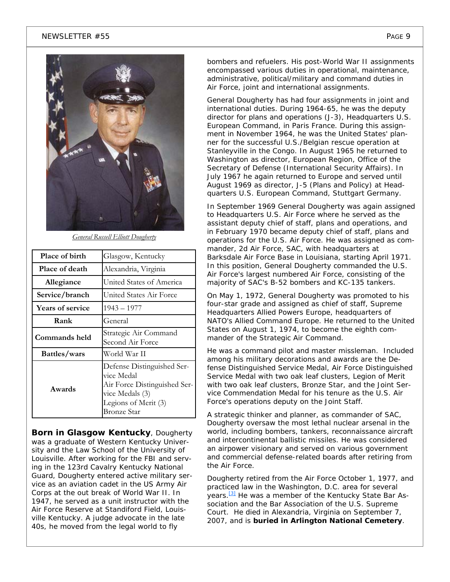#### $N$ EWSLETTER #55  $P_{\text{AGE 9}}$



*General Russell Elliott Dougherty* 

| Place of birth          | Glasgow, Kentucky                                                                                                                  |
|-------------------------|------------------------------------------------------------------------------------------------------------------------------------|
| Place of death          | Alexandria, Virginia                                                                                                               |
| Allegiance              | United States of America                                                                                                           |
| Service/branch          | United States Air Force                                                                                                            |
| <b>Years of service</b> | 1943 – 1977                                                                                                                        |
| Rank                    | General                                                                                                                            |
| Commands held           | Strategic Air Command<br>Second Air Force                                                                                          |
| Battles/wars            | World War II                                                                                                                       |
| Awards                  | Defense Distinguished Ser-<br>vice Medal<br>Air Force Distinguished Ser-<br>vice Medals (3)<br>Legions of Merit (3)<br>Bronze Star |

**Born in Glasgow Kentucky**, Dougherty was a graduate of Western Kentucky University and the Law School of the University of Louisville. After working for the FBI and serving in the 123rd Cavalry Kentucky National Guard, Dougherty entered active military service as an aviation cadet in the US Army Air Corps at the out break of World War II. In 1947, he served as a unit instructor with the Air Force Reserve at Standiford Field, Louisville Kentucky. A judge advocate in the late 40s, he moved from the legal world to fly

bombers and refuelers. His post-World War II assignments encompassed various duties in operational, maintenance, administrative, political/military and command duties in Air Force, joint and international assignments.

General Dougherty has had four assignments in joint and international duties. During 1964-65, he was the deputy director for plans and operations (J-3), Headquarters U.S. European Command, in Paris France. During this assignment in November 1964, he was the United States' planner for the successful U.S./Belgian rescue operation at Stanleyville in the Congo. In August 1965 he returned to Washington as director, European Region, Office of the Secretary of Defense (International Security Affairs). In July 1967 he again returned to Europe and served until August 1969 as director, J-5 (Plans and Policy) at Headquarters U.S. European Command, Stuttgart Germany.

In September 1969 General Dougherty was again assigned to Headquarters U.S. Air Force where he served as the assistant deputy chief of staff, plans and operations, and in February 1970 became deputy chief of staff, plans and operations for the U.S. Air Force. He was assigned as commander, 2d Air Force, SAC, with headquarters at Barksdale Air Force Base in Louisiana, starting April 1971. In this position, General Dougherty commanded the U.S. Air Force's largest numbered Air Force, consisting of the majority of SAC's B-52 bombers and KC-135 tankers.

On May 1, 1972, General Dougherty was promoted to his four-star grade and assigned as chief of staff, Supreme Headquarters Allied Powers Europe, headquarters of NATO's Allied Command Europe. He returned to the United States on August 1, 1974, to become the eighth commander of the Strategic Air Command.

He was a command pilot and master missleman. Included among his military decorations and awards are the Defense Distinguished Service Medal, Air Force Distinguished Service Medal with two oak leaf clusters, Legion of Merit with two oak leaf clusters, Bronze Star, and the Joint Service Commendation Medal for his tenure as the U.S. Air Force's operations deputy on the Joint Staff.

A strategic thinker and planner, as commander of SAC, Dougherty oversaw the most lethal nuclear arsenal in the world, including bombers, tankers, reconnaissance aircraft and intercontinental ballistic missiles. He was considered an airpower visionary and served on various government and commercial defense-related boards after retiring from the Air Force.

Dougherty retired from the Air Force October 1, 1977, and practiced law in the Washington, D.C. area for several years.<sup>[3]</sup> He was a member of the Kentucky State Bar Association and the Bar Association of the U.S. Supreme Court. He died in Alexandria, Virginia on September 7, 2007, and is *buried in Arlington National Cemetery*.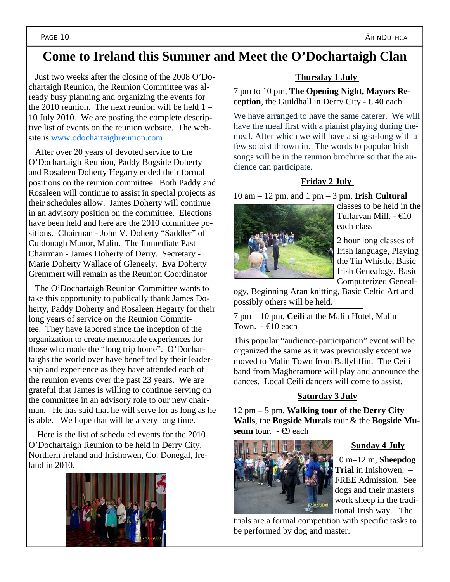### **Come to Ireland this Summer and Meet the O'Dochartaigh Clan**

 Just two weeks after the closing of the 2008 O'Dochartaigh Reunion, the Reunion Committee was already busy planning and organizing the events for the 2010 reunion. The next reunion will be held  $1 -$ 10 July 2010. We are posting the complete descriptive list of events on the reunion website. The website is www.odochartaighreunion.com

 After over 20 years of devoted service to the O'Dochartaigh Reunion, Paddy Bogside Doherty and Rosaleen Doherty Hegarty ended their formal positions on the reunion committee. Both Paddy and Rosaleen will continue to assist in special projects as their schedules allow. James Doherty will continue in an advisory position on the committee. Elections have been held and here are the 2010 committee positions. Chairman - John V. Doherty "Saddler" of Culdonagh Manor, Malin. The Immediate Past Chairman - James Doherty of Derry. Secretary - Marie Doherty Wallace of Gleneely. Eva Doherty Gremmert will remain as the Reunion Coordinator

 The O'Dochartaigh Reunion Committee wants to take this opportunity to publically thank James Doherty, Paddy Doherty and Rosaleen Hegarty for their long years of service on the Reunion Committee. They have labored since the inception of the organization to create memorable experiences for those who made the "long trip home". O'Dochartaighs the world over have benefited by their leadership and experience as they have attended each of the reunion events over the past 23 years. We are grateful that James is willing to continue serving on the committee in an advisory role to our new chairman. He has said that he will serve for as long as he is able. We hope that will be a very long time.

 Here is the list of scheduled events for the 2010 O'Dochartaigh Reunion to be held in Derry City, Northern Ireland and Inishowen, Co. Donegal, Ireland in 2010.



#### **Thursday 1 July**

7 pm to 10 pm, **The Opening Night, Mayors Reception**, the Guildhall in Derry City -  $\in$  40 each

We have arranged to have the same caterer. We will have the meal first with a pianist playing during themeal. After which we will have a sing-a-long with a few soloist thrown in. The words to popular Irish songs will be in the reunion brochure so that the audience can participate.

#### **Friday 2 July**

10 am – 12 pm, and 1 pm – 3 pm, **Irish Cultural** 



classes to be held in the Tullarvan Mill. - €10 each class

2 hour long classes of Irish language, Playing the Tin Whistle, Basic Irish Genealogy, Basic Computerized Geneal-

ogy, Beginning Aran knitting, Basic Celtic Art and possibly others will be held.

7 pm – 10 pm, **Ceili** at the Malin Hotel, Malin Town  $-\epsilon$ 10 each

This popular "audience-participation" event will be organized the same as it was previously except we moved to Malin Town from Ballyliffin. The Ceili band from Magheramore will play and announce the dances. Local Ceili dancers will come to assist.

#### **Saturday 3 July**

12 pm – 5 pm, **Walking tour of the Derry City Walls**, the **Bogside Murals** tour & the **Bogside Museum** tour. - **€**9 each



#### **Sunday 4 July**

10 m–12 m, **Sheepdog Trial** in Inishowen. – FREE Admission. See dogs and their masters work sheep in the traditional Irish way. The

trials are a formal competition with specific tasks to be performed by dog and master.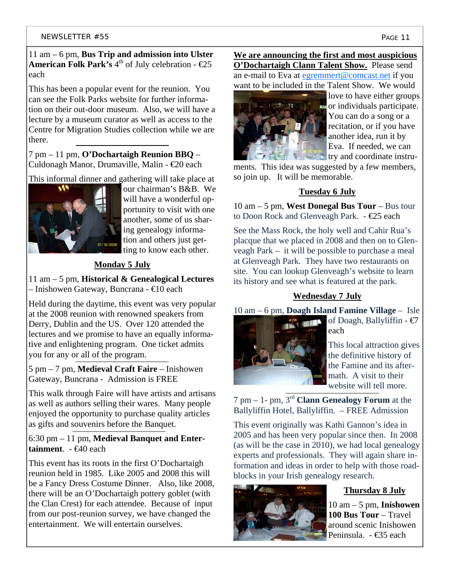#### 11 am – 6 pm, **Bus Trip and admission into Ulster American Folk Park's**  $4^{\text{th}}$  of July celebration -  $\epsilon$ 25 each

This has been a popular event for the reunion. You can see the Folk Parks website for further information on their out-door museum. Also, we will have a lecture by a museum curator as well as access to the Centre for Migration Studies collection while we are there.

7 pm – 11 pm, **O'Dochartaigh Reunion BBQ** – Culdonagh Manor, Drumaville, Malin - €20 each

This informal dinner and gathering will take place at



our chairman's B&B. We will have a wonderful opportunity to visit with one another, some of us sharing genealogy information and others just getting to know each other.

### **Monday 5 July**

11 am – 5 pm, **Historical & Genealogical Lectures** – Inishowen Gateway, Buncrana - €10 each

Held during the daytime, this event was very popular at the 2008 reunion with renowned speakers from Derry, Dublin and the US. Over 120 attended the lectures and we promise to have an equally informative and enlightening program. One ticket admits you for any or all of the program.

5 pm – 7 pm, **Medieval Craft Faire** – Inishowen Gateway, Buncrana - Admission is FREE

This walk through Faire will have artists and artisans as well as authors selling their wares. Many people enjoyed the opportunity to purchase quality articles as gifts and souvenirs before the Banquet.

#### 6:30 pm – 11 pm, **Medieval Banquet and Enter**tainment. - €40 each

This event has its roots in the first O'Dochartaigh reunion held in 1985. Like 2005 and 2008 this will be a Fancy Dress Costume Dinner. Also, like 2008, there will be an O'Dochartaigh pottery goblet (with the Clan Crest) for each attendee. Because of input from our post-reunion survey, we have changed the entertainment. We will entertain ourselves.

**We are announcing the first and most auspicious O'Dochartaigh Clann Talent Show.** Please send an e-mail to Eva at egremmert@comcast.net if you want to be included in the Talent Show. We would



love to have either groups or individuals participate. You can do a song or a recitation, or if you have another idea, run it by Eva. If needed, we can try and coordinate instru-

ments. This idea was suggested by a few members, so join up. It will be memorable.

#### **Tuesday 6 July**

10 am – 5 pm, **West Donegal Bus Tour** – Bus tour to Doon Rock and Glenveagh Park.  $-\epsilon$ 25 each

See the Mass Rock, the holy well and Cahir Rua's placque that we placed in 2008 and then on to Glenveagh Park – it will be possible to purchase a meal at Glenveagh Park. They have two restaurants on site. You can lookup Glenveagh's website to learn its history and see what is featured at the park.

#### **Wednesday 7 July**

10 am – 6 pm, **Doagh Island Famine Village** – Isle



of Doagh, Ballyliffin - €7 each

This local attraction gives the definitive history of the Famine and its aftermath. A visit to their website will tell more.

7 pm – 1- pm, 3rd **Clann Genealogy Forum** at the Ballyliffin Hotel, Ballyliffin. – FREE Admission

This event originally was Kathi Gannon's idea in 2005 and has been very popular since then. In 2008 (as will be the case in 2010), we had local genealogy experts and professionals. They will again share information and ideas in order to help with those roadblocks in your Irish genealogy research.



#### **Thursday 8 July**

10 am – 5 pm, **Inishowen 100 Bus Tour** – Travel around scenic Inishowen Peninsula. - €35 each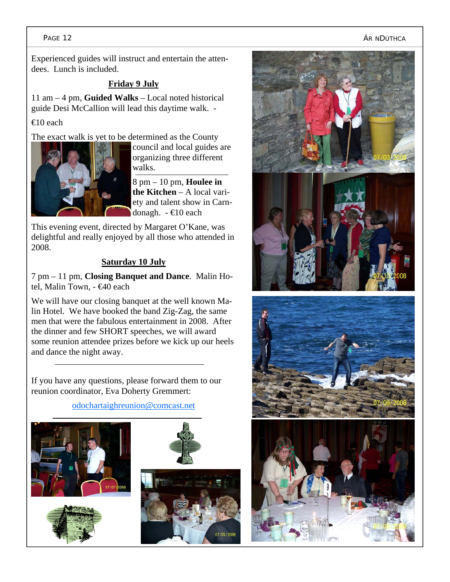#### PAGE 12 ÁR NDÚTHCA

Experienced guides will instruct and entertain the attendees. Lunch is included.

#### **Friday 9 July**

11 am – 4 pm, **Guided Walks** – Local noted historical guide Desi McCallion will lead this daytime walk. -

#### €10 each

The exact walk is yet to be determined as the County



council and local guides are organizing three different walks.

8 pm – 10 pm, **Houlee in the Kitchen** – A local variety and talent show in Carndonagh. - €10 each

This evening event, directed by Margaret O'Kane, was delightful and really enjoyed by all those who attended in 2008.

#### **Saturday 10 July**

7 pm – 11 pm, **Closing Banquet and Dance**. Malin Hotel, Malin Town, - €40 each

We will have our closing banquet at the well known Malin Hotel. We have booked the band Zig-Zag, the same men that were the fabulous entertainment in 2008. After the dinner and few SHORT speeches, we will award some reunion attendee prizes before we kick up our heels and dance the night away.

If you have any questions, please forward them to our reunion coordinator, Eva Doherty Gremmert:











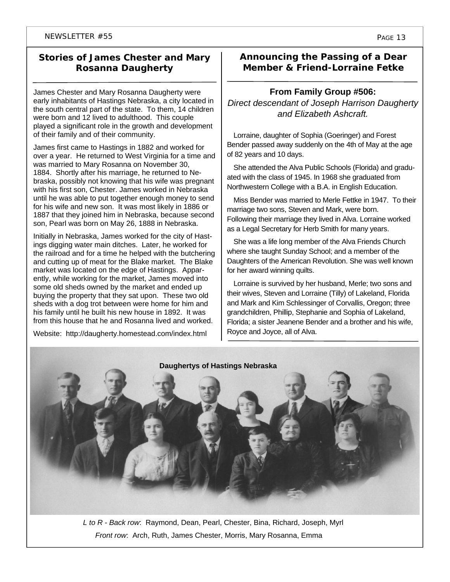#### **Stories of James Chester and Mary Rosanna Daugherty**

James Chester and Mary Rosanna Daugherty were early inhabitants of Hastings Nebraska, a city located in the south central part of the state. To them, 14 children were born and 12 lived to adulthood. This couple played a significant role in the growth and development of their family and of their community.

James first came to Hastings in 1882 and worked for over a year. He returned to West Virginia for a time and was married to Mary Rosanna on November 30, 1884. Shortly after his marriage, he returned to Nebraska, possibly not knowing that his wife was pregnant with his first son, Chester. James worked in Nebraska until he was able to put together enough money to send for his wife and new son. It was most likely in 1886 or 1887 that they joined him in Nebraska, because second son, Pearl was born on May 26, 1888 in Nebraska.

Initially in Nebraska, James worked for the city of Hastings digging water main ditches. Later, he worked for the railroad and for a time he helped with the butchering and cutting up of meat for the Blake market. The Blake market was located on the edge of Hastings. Apparently, while working for the market, James moved into some old sheds owned by the market and ended up buying the property that they sat upon. These two old sheds with a dog trot between were home for him and his family until he built his new house in 1892. It was from this house that he and Rosanna lived and worked.

Website: http://daugherty.homestead.com/index.html

#### **Announcing the Passing of a Dear Member & Friend-Lorraine Fetke**

#### **From Family Group #506:**

*Direct descendant of Joseph Harrison Daugherty and Elizabeth Ashcraft.* 

Lorraine, daughter of Sophia (Goeringer) and Forest Bender passed away suddenly on the 4th of May at the age of 82 years and 10 days.

She attended the Alva Public Schools (Florida) and graduated with the class of 1945. In 1968 she graduated from Northwestern College with a B.A. in English Education.

Miss Bender was married to Merle Fettke in 1947. To their marriage two sons, Steven and Mark, were born. Following their marriage they lived in Alva. Lorraine worked as a Legal Secretary for Herb Smith for many years.

She was a life long member of the Alva Friends Church where she taught Sunday School; and a member of the Daughters of the American Revolution. She was well known for her award winning quilts.

Lorraine is survived by her husband, Merle; two sons and their wives, Steven and Lorraine (Tilly) of Lakeland, Florida and Mark and Kim Schlessinger of Corvallis, Oregon; three grandchildren, Phillip, Stephanie and Sophia of Lakeland, Florida; a sister Jeanene Bender and a brother and his wife, Royce and Joyce, all of Alva.



*L to R - Back row*: Raymond, Dean, Pearl, Chester, Bina, Richard, Joseph, Myrl *Front row*: Arch, Ruth, James Chester, Morris, Mary Rosanna, Emma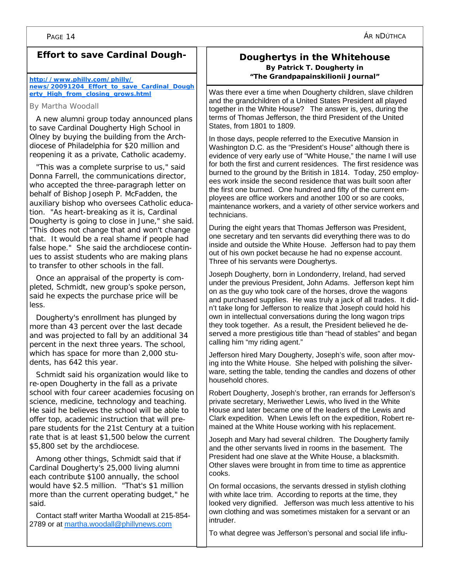#### **Effort to save Cardinal Dough-**

#### **http://www.philly.com/philly/ news/20091204\_Effort\_to\_save\_Cardinal\_Dough erty\_High\_from\_closing\_grows.html**

By Martha Woodall

A new alumni group today announced plans to save Cardinal Dougherty High School in Olney by buying the building from the Archdiocese of Philadelphia for \$20 million and reopening it as a private, Catholic academy.

"This was a complete surprise to us," said Donna Farrell, the communications director, who accepted the three-paragraph letter on behalf of Bishop Joseph P. McFadden, the auxiliary bishop who oversees Catholic education. "As heart-breaking as it is, Cardinal Dougherty is going to close in June," she said. "This does not change that and won't change that. It would be a real shame if people had false hope." She said the archdiocese continues to assist students who are making plans to transfer to other schools in the fall.

Once an appraisal of the property is completed, Schmidt, new group's spoke person, said he expects the purchase price will be less.

Dougherty's enrollment has plunged by more than 43 percent over the last decade and was projected to fall by an additional 34 percent in the next three years. The school, which has space for more than 2,000 students, has 642 this year.

Schmidt said his organization would like to re-open Dougherty in the fall as a private school with four career academies focusing on science, medicine, technology and teaching. He said he believes the school will be able to offer top, academic instruction that will prepare students for the 21st Century at a tuition rate that is at least \$1,500 below the current \$5,800 set by the archdiocese.

Among other things, Schmidt said that if Cardinal Dougherty's 25,000 living alumni each contribute \$100 annually, the school would have \$2.5 million. "That's \$1 million more than the current operating budget," he said.

Contact staff writer Martha Woodall at 215-854- 2789 or at martha.woodall@phillynews.com

#### **Doughertys in the Whitehouse By Patrick T. Dougherty in "The Grandpapainskilionii Journal"**

Was there ever a time when Dougherty children, slave children and the grandchildren of a United States President all played together in the White House? The answer is, yes, during the terms of Thomas Jefferson, the third President of the United States, from 1801 to 1809.

In those days, people referred to the Executive Mansion in Washington D.C. as the "President's House" although there is evidence of very early use of "White House," the name I will use for both the first and current residences. The first residence was burned to the ground by the British in 1814. Today, 250 employees work inside the second residence that was built soon after the first one burned. One hundred and fifty of the current employees are office workers and another 100 or so are cooks, maintenance workers, and a variety of other service workers and technicians.

During the eight years that Thomas Jefferson was President, one secretary and ten servants did everything there was to do inside and outside the White House. Jefferson had to pay them out of his own pocket because he had no expense account. Three of his servants were Doughertys.

Joseph Dougherty, born in Londonderry, Ireland, had served under the previous President, John Adams. Jefferson kept him on as the guy who took care of the horses, drove the wagons and purchased supplies. He was truly a jack of all trades. It didn't take long for Jefferson to realize that Joseph could hold his own in intellectual conversations during the long wagon trips they took together. As a result, the President believed he deserved a more prestigious title than "head of stables" and began calling him "my riding agent."

Jefferson hired Mary Dougherty, Joseph's wife, soon after moving into the White House. She helped with polishing the silverware, setting the table, tending the candles and dozens of other household chores.

Robert Dougherty, Joseph's brother, ran errands for Jefferson's private secretary, Meriwether Lewis, who lived in the White House and later became one of the leaders of the Lewis and Clark expedition. When Lewis left on the expedition, Robert remained at the White House working with his replacement.

Joseph and Mary had several children. The Dougherty family and the other servants lived in rooms in the basement. The President had one slave at the White House, a blacksmith. Other slaves were brought in from time to time as apprentice cooks.

On formal occasions, the servants dressed in stylish clothing with white lace trim. According to reports at the time, they looked very dignified. Jefferson was much less attentive to his own clothing and was sometimes mistaken for a servant or an intruder.

To what degree was Jefferson's personal and social life influ-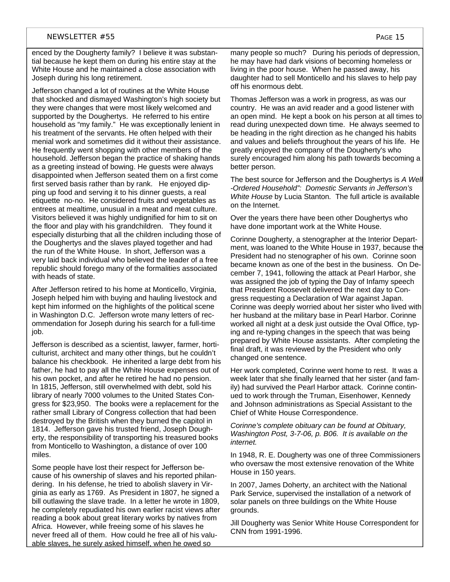enced by the Dougherty family? I believe it was substantial because he kept them on during his entire stay at the White House and he maintained a close association with Joseph during his long retirement.

Jefferson changed a lot of routines at the White House that shocked and dismayed Washington's high society but they were changes that were most likely welcomed and supported by the Doughertys. He referred to his entire household as "my family." He was exceptionally lenient in his treatment of the servants. He often helped with their menial work and sometimes did it without their assistance. He frequently went shopping with other members of the household. Jefferson began the practice of shaking hands as a greeting instead of bowing. He guests were always disappointed when Jefferson seated them on a first come first served basis rather than by rank. He enjoyed dipping up food and serving it to his dinner guests, a real etiquette no-no. He considered fruits and vegetables as entrees at mealtime, unusual in a meat and meat culture. Visitors believed it was highly undignified for him to sit on the floor and play with his grandchildren. They found it especially disturbing that all the children including those of the Doughertys and the slaves played together and had the run of the White House. In short, Jefferson was a very laid back individual who believed the leader of a free republic should forego many of the formalities associated with heads of state.

After Jefferson retired to his home at Monticello, Virginia, Joseph helped him with buying and hauling livestock and kept him informed on the highlights of the political scene in Washington D.C. Jefferson wrote many letters of recommendation for Joseph during his search for a full-time job.

Jefferson is described as a scientist, lawyer, farmer, horticulturist, architect and many other things, but he couldn't balance his checkbook. He inherited a large debt from his father, he had to pay all the White House expenses out of his own pocket, and after he retired he had no pension. In 1815, Jefferson, still overwhelmed with debt, sold his library of nearly 7000 volumes to the United States Congress for \$23,950. The books were a replacement for the rather small Library of Congress collection that had been destroyed by the British when they burned the capitol in 1814. Jefferson gave his trusted friend, Joseph Dougherty, the responsibility of transporting his treasured books from Monticello to Washington, a distance of over 100 miles.

Some people have lost their respect for Jefferson because of his ownership of slaves and his reported philandering. In his defense, he tried to abolish slavery in Virginia as early as 1769. As President in 1807, he signed a bill outlawing the slave trade. In a letter he wrote in 1809, he completely repudiated his own earlier racist views after reading a book about great literary works by natives from Africa. However, while freeing some of his slaves he never freed all of them. How could he free all of his valuable slaves, he surely asked himself, when he owed so

many people so much? During his periods of depression, he may have had dark visions of becoming homeless or living in the poor house. When he passed away, his daughter had to sell Monticello and his slaves to help pay off his enormous debt.

Thomas Jefferson was a work in progress, as was our country. He was an avid reader and a good listener with an open mind. He kept a book on his person at all times to read during unexpected down time. He always seemed to be heading in the right direction as he changed his habits and values and beliefs throughout the years of his life. He greatly enjoyed the company of the Dougherty's who surely encouraged him along his path towards becoming a better person.

The best source for Jefferson and the Doughertys is *A Well -Ordered Household": Domestic Servants in Jefferson's White House* by Lucia Stanton*.* The full article is available on the Internet.

Over the years there have been other Doughertys who have done important work at the White House.

Corinne Dougherty, a stenographer at the Interior Department, was loaned to the White House in 1937, because the President had no stenographer of his own. Corinne soon became known as one of the best in the business. On December 7, 1941, following the attack at Pearl Harbor, she was assigned the job of typing the Day of Infamy speech that President Roosevelt delivered the next day to Congress requesting a Declaration of War against Japan. Corinne was deeply worried about her sister who lived with her husband at the military base in Pearl Harbor. Corinne worked all night at a desk just outside the Oval Office, typing and re-typing changes in the speech that was being prepared by White House assistants. After completing the final draft, it was reviewed by the President who only changed one sentence.

Her work completed, Corinne went home to rest. It was a week later that she finally learned that her sister (and family) had survived the Pearl Harbor attack. Corinne continued to work through the Truman, Eisenhower, Kennedy and Johnson administrations as Special Assistant to the Chief of White House Correspondence.

*Corinne's complete obituary can be found at Obituary, Washington Post, 3-7-06, p. B06. It is available on the internet.* 

In 1948, R. E. Dougherty was one of three Commissioners who oversaw the most extensive renovation of the White House in 150 years.

In 2007, James Doherty, an architect with the National Park Service, supervised the installation of a network of solar panels on three buildings on the White House grounds.

Jill Dougherty was Senior White House Correspondent for CNN from 1991-1996.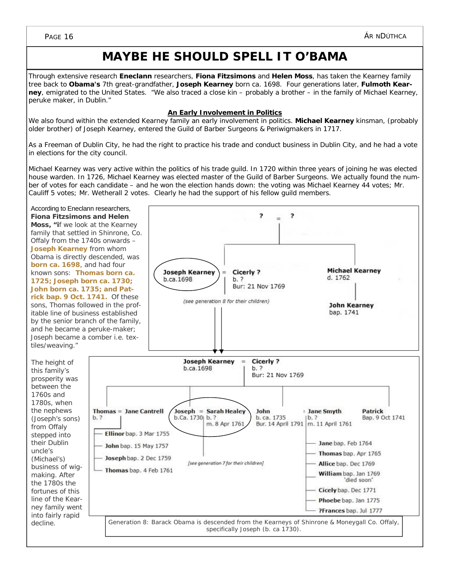### **MAYBE HE SHOULD SPELL IT O'BAMA**

Through extensive research **Eneclann** researchers, **Fiona Fitzsimons** and **Helen Moss**, has taken the Kearney family tree back to **Obama's** 7th great-grandfather, *Joseph Kearney* born ca. 1698. Four generations later, *Fulmoth Kearney*, emigrated to the United States. "We also traced a close kin – probably a brother – in the family of Michael Kearney, peruke maker, in Dublin."

#### **An Early Involvement in Politics**

We also found within the extended Kearney family an early involvement in politics. *Michael Kearney* kinsman, (probably older brother) of Joseph Kearney, entered the Guild of Barber Surgeons & Periwigmakers in 1717.

As a Freeman of Dublin City, he had the right to practice his trade and conduct business in Dublin City, and he had a vote in elections for the city council.

Michael Kearney was very active within the politics of his trade guild. In 1720 within three years of joining he was elected house warden. In 1726, Michael Kearney was elected master of the Guild of Barber Surgeons. We actually found the number of votes for each candidate – and he won the election hands down: the voting was Michael Kearney 44 votes; Mr. Cauliff 5 votes; Mr. Wetherall 2 votes. Clearly he had the support of his fellow guild members.

2

<sub>2</sub>

According to Eneclann researchers, **Fiona Fitzsimons and Helen Moss, "i**f we look at the Kearney family that settled in Shinrone, Co. Offaly from the 1740s onwards – **Joseph Kearney** from whom Obama is directly descended, was **born ca. 1698**, and had four known sons: **Thomas born ca. 1725; Joseph born ca. 1730; John born ca. 1735; and Patrick bap. 9 Oct. 1741.** Of these sons, Thomas followed in the profitable line of business established by the senior branch of the family, and he became a peruke-maker; Joseph became a comber i.e. textiles/weaving."

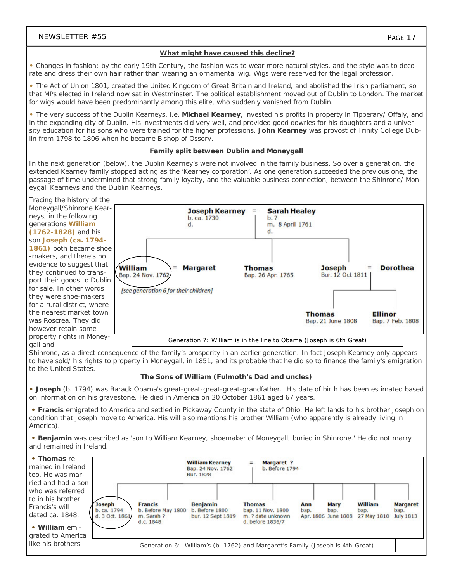#### **What might have caused this decline?**

**•** Changes in fashion: by the early 19th Century, the fashion was to wear more natural styles, and the style was to decorate and dress their own hair rather than wearing an ornamental wig. Wigs were reserved for the legal profession.

**•** The Act of Union 1801, created the United Kingdom of Great Britain and Ireland, and abolished the Irish parliament, so that MPs elected in Ireland now sat in Westminster. The political establishment moved out of Dublin to London. The market for wigs would have been predominantly among this elite, who suddenly vanished from Dublin.

**•** The very success of the Dublin Kearneys, i.e. **Michael Kearney**, invested his profits in property in Tipperary/ Offaly, and in the expanding city of Dublin. His investments did very well, and provided good dowries for his daughters and a university education for his sons who were trained for the higher professions. **John Kearney** was provost of Trinity College Dublin from 1798 to 1806 when he became Bishop of Ossory.

#### **Family split between Dublin and Moneygall**

In the next generation (below), the Dublin Kearney's were not involved in the family business. So over a generation, the extended Kearney family stopped acting as the 'Kearney corporation'. As one generation succeeded the previous one, the passage of time undermined that strong family loyalty, and the valuable business connection, between the Shinrone/ Moneygall Kearneys and the Dublin Kearneys.

Tracing the history of the Moneygall/Shinrone Kearneys, in the following generations **William (1762-1828)** and his son **Joseph (ca. 1794- 1861)** both became shoe -makers, and there's no evidence to suggest that they continued to transport their goods to Dublin for sale. In other words they were shoe-makers for a rural district, where the nearest market town was Roscrea. They did however retain some property rights in Moneygall and



Shinrone, as a direct consequence of the family's prosperity in an earlier generation. In fact Joseph Kearney only appears to have sold/ his rights to property in Moneygall, in 1851, and its probable that he did so to finance the family's emigration to the United States.

#### **The Sons of William (Fulmoth's Dad and uncles)**

**• Joseph** (b. 1794) was Barack Obama's great-great-great-great-grandfather. His date of birth has been estimated based on information on his gravestone. He died in America on 30 October 1861 aged 67 years.

**• Francis** emigrated to America and settled in Pickaway County in the state of Ohio. He left lands to his brother Joseph on condition that Joseph move to America. His will also mentions his brother William (who apparently is already living in America).

**• Benjamin** was described as 'son to William Kearney, shoemaker of Moneygall, buried in Shinrone.' He did not marry and remained in Ireland.

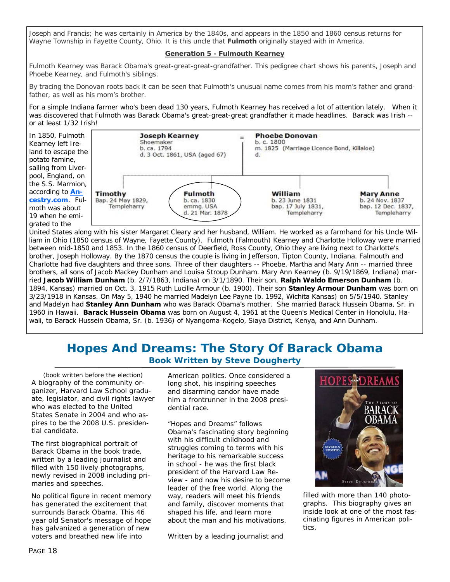Joseph and Francis; he was certainly in America by the 1840s, and appears in the 1850 and 1860 census returns for Wayne Township in Fayette County, Ohio. It is this uncle that **Fulmoth** originally stayed with in America.

#### **Generation 5 - Fulmouth Kearney**

Fulmoth Kearney was Barack Obama's great-great-great-grandfather. This pedigree chart shows his parents, Joseph and Phoebe Kearney, and Fulmoth's siblings.

By tracing the Donovan roots back it can be seen that Fulmoth's unusual name comes from his mom's father and grandfather, as well as his mom's brother.

For a simple Indiana farmer who's been dead 130 years, Fulmoth Kearney has received a lot of attention lately. When it was discovered that Fulmoth was Barack Obama's great-great-great grandfather it made headlines. Barack was Irish - or at least 1/32 Irish!



United States along with his sister Margaret Cleary and her husband, William. He worked as a farmhand for his Uncle William in Ohio (1850 census of Wayne, Fayette County). Fulmoth (Falmouth) Kearney and Charlotte Holloway were married between mid-1850 and 1853. In the 1860 census of Deerfield, Ross County, Ohio they are living next to Charlotte's brother, Joseph Holloway. By the 1870 census the couple is living in Jefferson, Tipton County, Indiana. Falmouth and Charlotte had five daughters and three sons. Three of their daughters -- Phoebe, Martha and Mary Ann -- married three brothers, all sons of Jacob Mackey Dunham and Louisa Stroup Dunham. Mary Ann Kearney (b. 9/19/1869, Indiana) married **Jacob William Dunham** (b. 2/7/1863, Indiana) on 3/1/1890. Their son, **Ralph Waldo Emerson Dunham** (b. 1894, Kansas) married on Oct. 3, 1915 Ruth Lucille Armour (b. 1900). Their son **Stanley Armour Dunham** was born on 3/23/1918 in Kansas. On May 5, 1940 he married Madelyn Lee Payne (b. 1992, Wichita Kansas) on 5/5/1940. Stanley and Madelyn had **Stanley Ann Dunham** who was Barack Obama's mother. She married Barack Hussein Obama, Sr. in 1960 in Hawaii. **Barack Hussein Obama** was born on August 4, 1961 at the Queen's Medical Center in Honolulu, Hawaii, to Barack Hussein Obama, Sr. (b. 1936) of Nyangoma-Kogelo, Siaya District, Kenya, and Ann Dunham.

#### **Hopes And Dreams: The Story Of Barack Obama Book Written by Steve Dougherty**

*(book written before the election)*  A biography of the community organizer, Harvard Law School graduate, legislator, and civil rights lawyer who was elected to the United States Senate in 2004 and who aspires to be the 2008 U.S. presidential candidate.

The first biographical portrait of Barack Obama in the book trade, written by a leading journalist and filled with 150 lively photographs, newly revised in 2008 including primaries and speeches.

No political figure in recent memory has generated the excitement that surrounds Barack Obama. This 46 year old Senator's message of hope has galvanized a generation of new voters and breathed new life into

American politics. Once considered a long shot, his inspiring speeches and disarming candor have made him a frontrunner in the 2008 presidential race.

"*Hopes and Dreams"* follows Obama's fascinating story beginning with his difficult childhood and struggles coming to terms with his heritage to his remarkable success in school - he was the first black president of the Harvard Law Review - and now his desire to become leader of the free world. Along the way, readers will meet his friends and family, discover moments that shaped his life, and learn more about the man and his motivations.

Written by a leading journalist and



filled with more than 140 photographs. This biography gives an inside look at one of the most fascinating figures in American politics.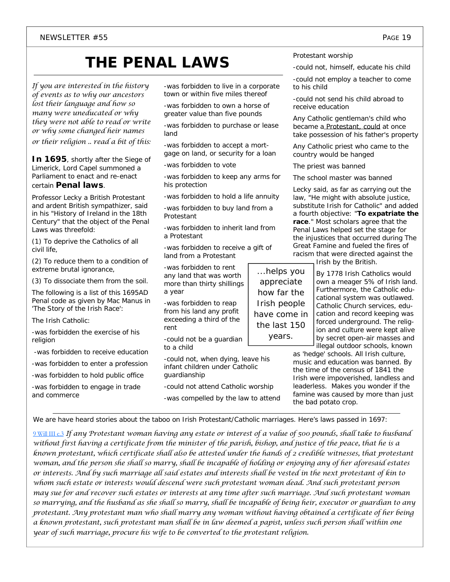## **THE PENAL LAWS**

*If you are interested in the history of events as to why our ancestors lost their language and how so many were uneducated or why they were not able to read or write or why some changed heir names or their religion .. read a bit of this*:

**In 1695**, shortly after the Siege of Limerick, Lord Capel summoned a Parliament to enact and re-enact certain **Penal laws**.

Professor Lecky a British Protestant and ardent British sympathizer, said in his "History of Ireland in the 18th Century" that the object of the Penal Laws was threefold:

(1) To deprive the Catholics of all civil life,

(2) To reduce them to a condition of extreme brutal ignorance,

(3) To dissociate them from the soil.

The following is a list of this 1695AD Penal code as given by Mac Manus in 'The Story of the Irish Race':

The Irish Catholic:

-was forbidden the exercise of his religion

-was forbidden to receive education

-was forbidden to enter a profession

-was forbidden to hold public office

-was forbidden to engage in trade and commerce

-was forbidden to live in a corporate town or within five miles thereof

-was forbidden to own a horse of greater value than five pounds

-was forbidden to purchase or lease land

-was forbidden to accept a mortgage on land, or security for a loan

-was forbidden to vote

-was forbidden to keep any arms for his protection

-was forbidden to hold a life annuity

-was forbidden to buy land from a Protestant

-was forbidden to inherit land from a Protestant

-was forbidden to receive a gift of land from a Protestant

-was forbidden to rent any land that was worth more than thirty shillings a year

-was forbidden to reap from his land any profit exceeding a third of the rent

-could not be a guardian to a child

-could not, when dying, leave his infant children under Catholic guardianship

-could not attend Catholic worship -was compelled by the law to attend Protestant worship

-could not, himself, educate his child

-could not employ a teacher to come to his child

-could not send his child abroad to receive education

Any Catholic gentleman's child who became a Protestant, could at once take possession of his father's property

Any Catholic priest who came to the country would be hanged

The priest was banned

The school master was banned

Lecky said, as far as carrying out the law, "He might with absolute justice, substitute Irish for Catholic" and added a fourth objective: "*To expatriate the race*." Most scholars agree that the Penal Laws helped set the stage for the injustices that occurred during The Great Famine and fueled the fires of racism that were directed against the

Irish by the British.

By 1778 Irish Catholics would own a meager 5% of Irish land. Furthermore, the Catholic educational system was outlawed. Catholic Church services, education and record keeping was forced underground. The religion and culture were kept alive by secret open-air masses and illegal outdoor schools, known

as 'hedge' schools. All Irish culture, music and education was banned. By the time of the census of 1841 the Irish were impoverished, landless and leaderless. Makes you wonder if the famine was caused by more than just the bad potato crop.

We are have heard stories about the taboo on Irish Protestant/Catholic marriages. Here's laws passed in 1697:

9 Will III c.3 *If any Protestant woman having any estate or interest of a value of 500 pounds, shall take to husband without first having a certificate from the minister of the parish, bishop, and justice of the peace, that he is a known protestant, which certificate shall also be attested under the hands of 2 credible witnesses, that protestant woman, and the person she shall so marry, shall be incapable of holding or enjoying any of her aforesaid estates or interests. And by such marriage all said estates and interests shall be vested in the next protestant of kin to whom such estate or interests would descend were such protestant woman dead. And such protestant person may sue for and recover such estates or interests at any time after such marriage. And such protestant woman so marrying, and the husband as she shall so marry, shall be incapable of being heir, executor or guardian to any protestant. Any protestant man who shall marry any woman without having obtained a certificate of her being a known protestant, such protestant man shall be in law deemed a papist, unless such person shall within one year of such marriage, procure his wife to be converted to the protestant religion.* 

*...helps you appreciate how far the Irish people have come in the last 150 years.*